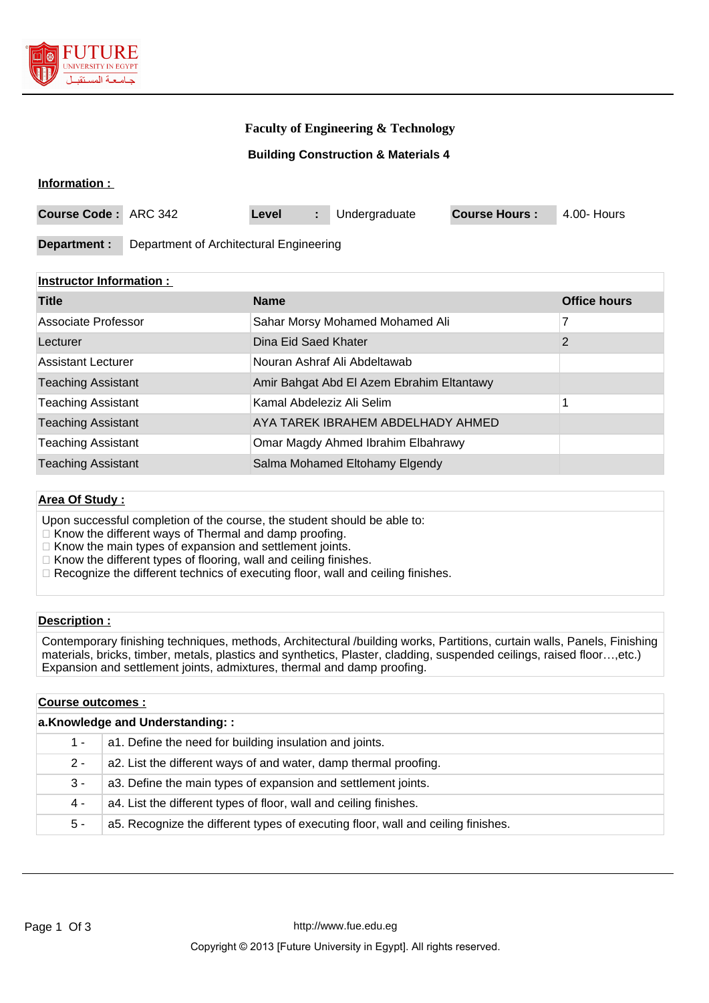

## **Faculty of Engineering & Technology**

## **Building Construction & Materials 4**

#### **Information :**

| <b>Course Code: ARC 342</b> |                                         | Level |  | Undergraduate | <b>Course Hours:</b> | 4.00- Hours |
|-----------------------------|-----------------------------------------|-------|--|---------------|----------------------|-------------|
|                             |                                         |       |  |               |                      |             |
| Department :                | Department of Architectural Engineering |       |  |               |                      |             |

## **Instructor Information :**

| <b>Title</b>              | <b>Name</b>                               | <b>Office hours</b> |
|---------------------------|-------------------------------------------|---------------------|
| Associate Professor       | Sahar Morsy Mohamed Mohamed Ali           | 7                   |
| Lecturer                  | Dina Eid Saed Khater                      | 2                   |
| <b>Assistant Lecturer</b> | Nouran Ashraf Ali Abdeltawab              |                     |
| <b>Teaching Assistant</b> | Amir Bahgat Abd El Azem Ebrahim Eltantawy |                     |
| <b>Teaching Assistant</b> | Kamal Abdeleziz Ali Selim                 |                     |
| <b>Teaching Assistant</b> | AYA TAREK IBRAHEM ABDELHADY AHMED         |                     |
| <b>Teaching Assistant</b> | Omar Magdy Ahmed Ibrahim Elbahrawy        |                     |
| <b>Teaching Assistant</b> | Salma Mohamed Eltohamy Elgendy            |                     |

## **Area Of Study :**

Upon successful completion of the course, the student should be able to:

 $\Box$  Know the different ways of Thermal and damp proofing.

 $\Box$  Know the main types of expansion and settlement joints.

- $\Box$  Know the different types of flooring, wall and ceiling finishes.
- □ Recognize the different technics of executing floor, wall and ceiling finishes.

## **Description :**

Contemporary finishing techniques, methods, Architectural /building works, Partitions, curtain walls, Panels, Finishing materials, bricks, timber, metals, plastics and synthetics, Plaster, cladding, suspended ceilings, raised floor…,etc.) Expansion and settlement joints, admixtures, thermal and damp proofing.

## **Course outcomes :**

| a.Knowledge and Understanding:: |                                                                                  |  |  |
|---------------------------------|----------------------------------------------------------------------------------|--|--|
| 1 -                             | a1. Define the need for building insulation and joints.                          |  |  |
| $2 -$                           | a2. List the different ways of and water, damp thermal proofing.                 |  |  |
| $3 -$                           | a3. Define the main types of expansion and settlement joints.                    |  |  |
| 4 -                             | a4. List the different types of floor, wall and ceiling finishes.                |  |  |
| 5 -                             | a5. Recognize the different types of executing floor, wall and ceiling finishes. |  |  |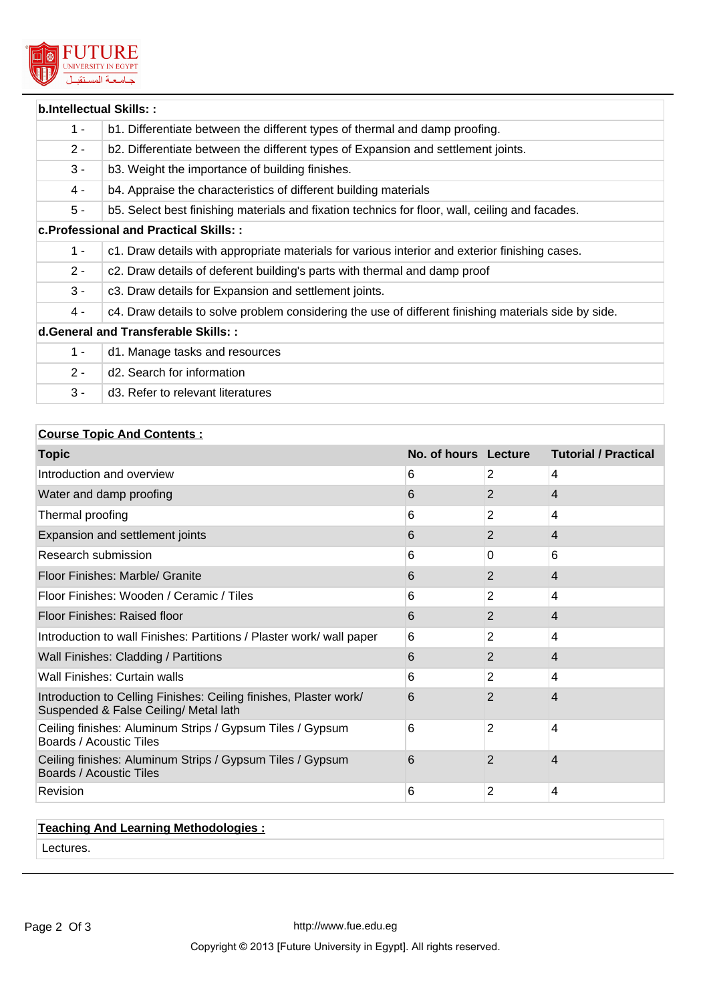

| b.Intellectual Skills::                |                                                                                                      |  |  |
|----------------------------------------|------------------------------------------------------------------------------------------------------|--|--|
| $1 -$                                  | b1. Differentiate between the different types of thermal and damp proofing.                          |  |  |
| $2 -$                                  | b2. Differentiate between the different types of Expansion and settlement joints.                    |  |  |
| $3 -$                                  | b3. Weight the importance of building finishes.                                                      |  |  |
| $4 -$                                  | b4. Appraise the characteristics of different building materials                                     |  |  |
| $5 -$                                  | b5. Select best finishing materials and fixation technics for floor, wall, ceiling and facades.      |  |  |
| c. Professional and Practical Skills:: |                                                                                                      |  |  |
| $1 -$                                  | c1. Draw details with appropriate materials for various interior and exterior finishing cases.       |  |  |
| $2 -$                                  | c2. Draw details of deferent building's parts with thermal and damp proof                            |  |  |
| $3 -$                                  | c3. Draw details for Expansion and settlement joints.                                                |  |  |
| 4 -                                    | c4. Draw details to solve problem considering the use of different finishing materials side by side. |  |  |
| d.General and Transferable Skills: :   |                                                                                                      |  |  |
| $1 -$                                  | d1. Manage tasks and resources                                                                       |  |  |
| $2 -$                                  | d2. Search for information                                                                           |  |  |
| $3 -$                                  | d <sub>3</sub> . Refer to relevant literatures                                                       |  |  |

## **Course Topic And Contents :**

| <b>Topic</b>                                                                                               | No. of hours Lecture |                | <b>Tutorial / Practical</b> |
|------------------------------------------------------------------------------------------------------------|----------------------|----------------|-----------------------------|
| Introduction and overview                                                                                  | 6                    | 2              | $\overline{4}$              |
| Water and damp proofing                                                                                    | 6                    | 2              | $\overline{4}$              |
| Thermal proofing                                                                                           | 6                    | 2              | $\overline{4}$              |
| Expansion and settlement joints                                                                            | 6                    | 2              | 4                           |
| Research submission                                                                                        | 6                    | 0              | 6                           |
| Floor Finishes: Marble/ Granite                                                                            | 6                    | 2              | 4                           |
| Floor Finishes: Wooden / Ceramic / Tiles                                                                   | 6                    | 2              | $\overline{4}$              |
| Floor Finishes: Raised floor                                                                               | 6                    | $\overline{2}$ | $\overline{4}$              |
| Introduction to wall Finishes: Partitions / Plaster work/ wall paper                                       | 6                    | 2              | $\overline{4}$              |
| Wall Finishes: Cladding / Partitions                                                                       | 6                    | 2              | 4                           |
| Wall Finishes: Curtain walls                                                                               | 6                    | 2              | $\overline{4}$              |
| Introduction to Celling Finishes: Ceiling finishes, Plaster work/<br>Suspended & False Ceiling/ Metal lath | 6                    | $\overline{2}$ | 4                           |
| Ceiling finishes: Aluminum Strips / Gypsum Tiles / Gypsum<br>Boards / Acoustic Tiles                       | 6                    | 2              | 4                           |
| Ceiling finishes: Aluminum Strips / Gypsum Tiles / Gypsum<br>Boards / Acoustic Tiles                       | 6                    | 2              | 4                           |
| Revision                                                                                                   | 6                    | 2              | $\overline{4}$              |

# **Teaching And Learning Methodologies :**

Lectures.